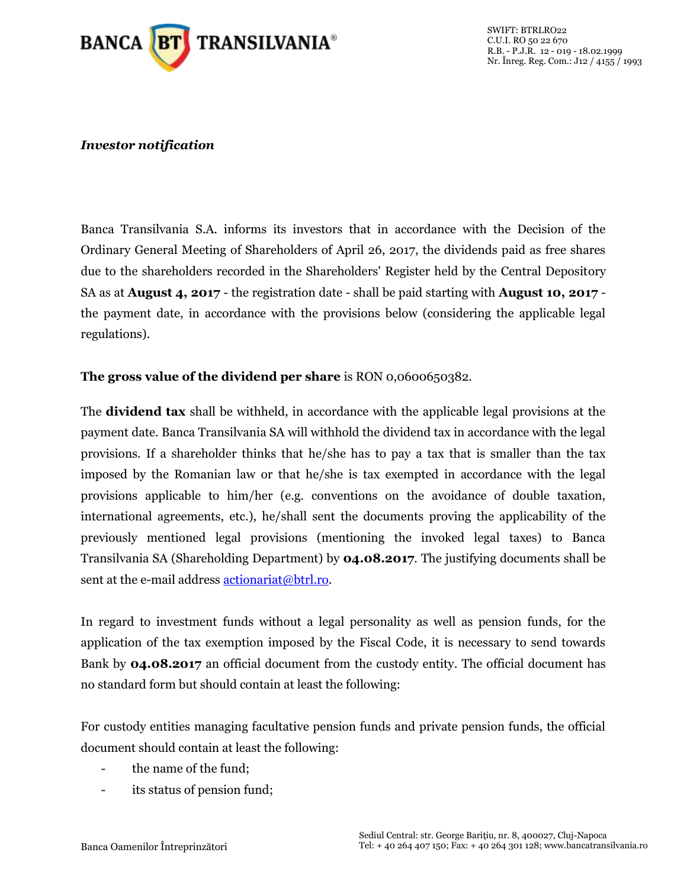

## *Investor notification*

Banca Transilvania S.A. informs its investors that in accordance with the Decision of the Ordinary General Meeting of Shareholders of April 26, 2017, the dividends paid as free shares due to the shareholders recorded in the Shareholders' Register held by the Central Depository SA as at **August 4, 2017** - the registration date - shall be paid starting with **August 10, 2017** the payment date, in accordance with the provisions below (considering the applicable legal regulations).

## **The gross value of the dividend per share** is RON 0,0600650382.

The **dividend tax** shall be withheld, in accordance with the applicable legal provisions at the payment date. Banca Transilvania SA will withhold the dividend tax in accordance with the legal provisions. If a shareholder thinks that he/she has to pay a tax that is smaller than the tax imposed by the Romanian law or that he/she is tax exempted in accordance with the legal provisions applicable to him/her (e.g. conventions on the avoidance of double taxation, international agreements, etc.), he/shall sent the documents proving the applicability of the previously mentioned legal provisions (mentioning the invoked legal taxes) to Banca Transilvania SA (Shareholding Department) by **04.08.2017**. The justifying documents shall be sent at the e-mail address **actionariat@btrl.ro.** 

In regard to investment funds without a legal personality as well as pension funds, for the application of the tax exemption imposed by the Fiscal Code, it is necessary to send towards Bank by **04.08.2017** an official document from the custody entity. The official document has no standard form but should contain at least the following:

For custody entities managing facultative pension funds and private pension funds, the official document should contain at least the following:

- the name of the fund;
- its status of pension fund;